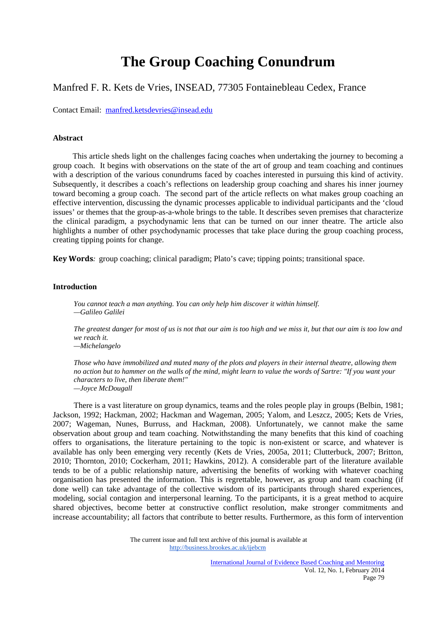# **The Group Coaching Conundrum**

# Manfred F. R. Kets de Vries, INSEAD, 77305 Fontainebleau Cedex, France

Contact Email: manfred.ketsdevries@insead.edu

#### **Abstract**

 This article sheds light on the challenges facing coaches when undertaking the journey to becoming a group coach. It begins with observations on the state of the art of group and team coaching and continues with a description of the various conundrums faced by coaches interested in pursuing this kind of activity. Subsequently, it describes a coach's reflections on leadership group coaching and shares his inner journey toward becoming a group coach. The second part of the article reflects on what makes group coaching an effective intervention, discussing the dynamic processes applicable to individual participants and the 'cloud issues' or themes that the group-as-a-whole brings to the table. It describes seven premises that characterize the clinical paradigm, a psychodynamic lens that can be turned on our inner theatre. The article also highlights a number of other psychodynamic processes that take place during the group coaching process, creating tipping points for change.

**Key Words***:* group coaching; clinical paradigm; Plato's cave; tipping points; transitional space.

## **Introduction**

*You cannot teach a man anything. You can only help him discover it within himself. —Galileo Galilei* 

*The greatest danger for most of us is not that our aim is too high and we miss it, but that our aim is too low and we reach it.* 

*—Michelangelo* 

*Those who have immobilized and muted many of the plots and players in their internal theatre, allowing them no action but to hammer on the walls of the mind, might learn to value the words of Sartre: "If you want your characters to live, then liberate them!" —Joyce McDougall* 

There is a vast literature on group dynamics, teams and the roles people play in groups (Belbin, 1981; Jackson, 1992; Hackman, 2002; Hackman and Wageman, 2005; Yalom, and Leszcz, 2005; Kets de Vries, 2007; Wageman, Nunes, Burruss, and Hackman, 2008). Unfortunately, we cannot make the same observation about group and team coaching. Notwithstanding the many benefits that this kind of coaching offers to organisations, the literature pertaining to the topic is non-existent or scarce, and whatever is available has only been emerging very recently (Kets de Vries, 2005a, 2011; Clutterbuck, 2007; Britton, 2010; Thornton, 2010; Cockerham, 2011; Hawkins, 2012). A considerable part of the literature available tends to be of a public relationship nature, advertising the benefits of working with whatever coaching organisation has presented the information. This is regrettable, however, as group and team coaching (if done well) can take advantage of the collective wisdom of its participants through shared experiences, modeling, social contagion and interpersonal learning. To the participants, it is a great method to acquire shared objectives, become better at constructive conflict resolution, make stronger commitments and increase accountability; all factors that contribute to better results. Furthermore, as this form of intervention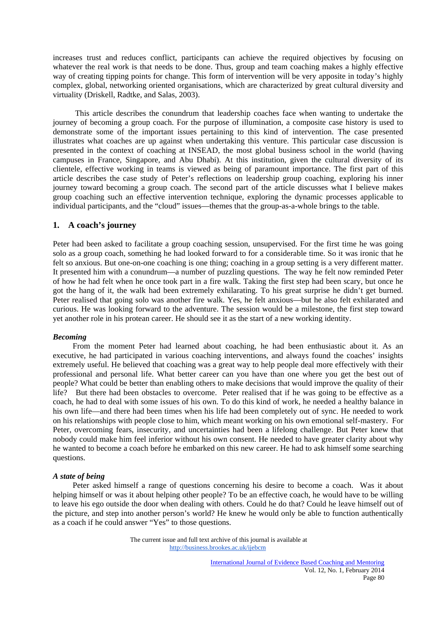increases trust and reduces conflict, participants can achieve the required objectives by focusing on whatever the real work is that needs to be done. Thus, group and team coaching makes a highly effective way of creating tipping points for change. This form of intervention will be very apposite in today's highly complex, global, networking oriented organisations, which are characterized by great cultural diversity and virtuality (Driskell, Radtke, and Salas, 2003).

 This article describes the conundrum that leadership coaches face when wanting to undertake the journey of becoming a group coach. For the purpose of illumination, a composite case history is used to demonstrate some of the important issues pertaining to this kind of intervention. The case presented illustrates what coaches are up against when undertaking this venture. This particular case discussion is presented in the context of coaching at INSEAD, the most global business school in the world (having campuses in France, Singapore, and Abu Dhabi). At this institution, given the cultural diversity of its clientele, effective working in teams is viewed as being of paramount importance. The first part of this article describes the case study of Peter's reflections on leadership group coaching, exploring his inner journey toward becoming a group coach. The second part of the article discusses what I believe makes group coaching such an effective intervention technique, exploring the dynamic processes applicable to individual participants, and the "cloud" issues—themes that the group-as-a-whole brings to the table.

## **1. A coach's journey**

Peter had been asked to facilitate a group coaching session, unsupervised. For the first time he was going solo as a group coach, something he had looked forward to for a considerable time. So it was ironic that he felt so anxious. But one-on-one coaching is one thing; coaching in a group setting is a very different matter. It presented him with a conundrum—a number of puzzling questions. The way he felt now reminded Peter of how he had felt when he once took part in a fire walk. Taking the first step had been scary, but once he got the hang of it, the walk had been extremely exhilarating. To his great surprise he didn't get burned. Peter realised that going solo was another fire walk. Yes, he felt anxious—but he also felt exhilarated and curious. He was looking forward to the adventure. The session would be a milestone, the first step toward yet another role in his protean career. He should see it as the start of a new working identity.

#### *Becoming*

 From the moment Peter had learned about coaching, he had been enthusiastic about it. As an executive, he had participated in various coaching interventions, and always found the coaches' insights extremely useful. He believed that coaching was a great way to help people deal more effectively with their professional and personal life. What better career can you have than one where you get the best out of people? What could be better than enabling others to make decisions that would improve the quality of their life? But there had been obstacles to overcome. Peter realised that if he was going to be effective as a coach, he had to deal with some issues of his own. To do this kind of work, he needed a healthy balance in his own life—and there had been times when his life had been completely out of sync. He needed to work on his relationships with people close to him, which meant working on his own emotional self-mastery. For Peter, overcoming fears, insecurity, and uncertainties had been a lifelong challenge. But Peter knew that nobody could make him feel inferior without his own consent. He needed to have greater clarity about why he wanted to become a coach before he embarked on this new career. He had to ask himself some searching questions.

#### *A state of being*

 Peter asked himself a range of questions concerning his desire to become a coach. Was it about helping himself or was it about helping other people? To be an effective coach, he would have to be willing to leave his ego outside the door when dealing with others. Could he do that? Could he leave himself out of the picture, and step into another person's world? He knew he would only be able to function authentically as a coach if he could answer "Yes" to those questions.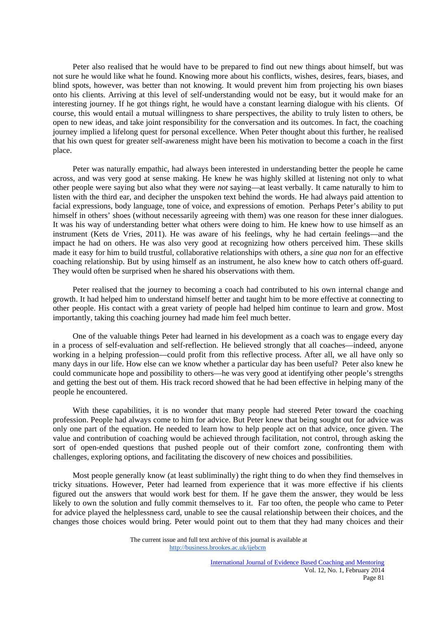Peter also realised that he would have to be prepared to find out new things about himself, but was not sure he would like what he found. Knowing more about his conflicts, wishes, desires, fears, biases, and blind spots, however, was better than not knowing. It would prevent him from projecting his own biases onto his clients. Arriving at this level of self-understanding would not be easy, but it would make for an interesting journey. If he got things right, he would have a constant learning dialogue with his clients. Of course, this would entail a mutual willingness to share perspectives, the ability to truly listen to others, be open to new ideas, and take joint responsibility for the conversation and its outcomes. In fact, the coaching journey implied a lifelong quest for personal excellence. When Peter thought about this further, he realised that his own quest for greater self-awareness might have been his motivation to become a coach in the first place.

 Peter was naturally empathic, had always been interested in understanding better the people he came across, and was very good at sense making. He knew he was highly skilled at listening not only to what other people were saying but also what they were *not* saying—at least verbally. It came naturally to him to listen with the third ear, and decipher the unspoken text behind the words. He had always paid attention to facial expressions, body language, tone of voice, and expressions of emotion. Perhaps Peter's ability to put himself in others' shoes (without necessarily agreeing with them) was one reason for these inner dialogues. It was his way of understanding better what others were doing to him. He knew how to use himself as an instrument (Kets de Vries, 2011). He was aware of his feelings, why he had certain feelings—and the impact he had on others. He was also very good at recognizing how others perceived him. These skills made it easy for him to build trustful, collaborative relationships with others, a *sine qua non* for an effective coaching relationship. But by using himself as an instrument, he also knew how to catch others off-guard. They would often be surprised when he shared his observations with them.

 Peter realised that the journey to becoming a coach had contributed to his own internal change and growth. It had helped him to understand himself better and taught him to be more effective at connecting to other people. His contact with a great variety of people had helped him continue to learn and grow. Most importantly, taking this coaching journey had made him feel much better.

 One of the valuable things Peter had learned in his development as a coach was to engage every day in a process of self-evaluation and self-reflection. He believed strongly that all coaches—indeed, anyone working in a helping profession—could profit from this reflective process. After all, we all have only so many days in our life. How else can we know whether a particular day has been useful? Peter also knew he could communicate hope and possibility to others—he was very good at identifying other people's strengths and getting the best out of them. His track record showed that he had been effective in helping many of the people he encountered.

 With these capabilities, it is no wonder that many people had steered Peter toward the coaching profession. People had always come to him for advice. But Peter knew that being sought out for advice was only one part of the equation. He needed to learn how to help people act on that advice, once given. The value and contribution of coaching would be achieved through facilitation, not control, through asking the sort of open-ended questions that pushed people out of their comfort zone, confronting them with challenges, exploring options, and facilitating the discovery of new choices and possibilities.

 Most people generally know (at least subliminally) the right thing to do when they find themselves in tricky situations. However, Peter had learned from experience that it was more effective if his clients figured out the answers that would work best for them. If he gave them the answer, they would be less likely to own the solution and fully commit themselves to it. Far too often, the people who came to Peter for advice played the helplessness card, unable to see the causal relationship between their choices, and the changes those choices would bring. Peter would point out to them that they had many choices and their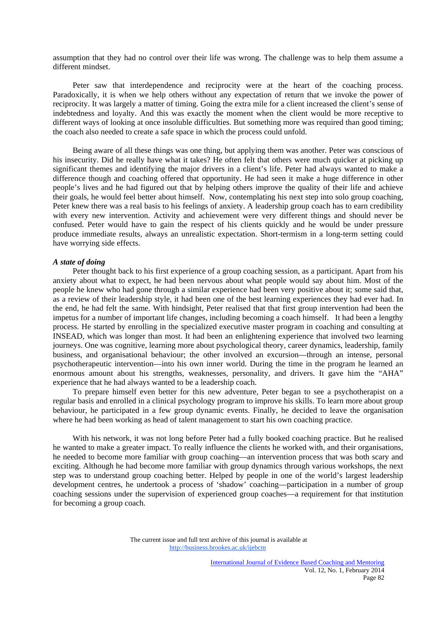assumption that they had no control over their life was wrong. The challenge was to help them assume a different mindset.

 Peter saw that interdependence and reciprocity were at the heart of the coaching process. Paradoxically, it is when we help others without any expectation of return that we invoke the power of reciprocity. It was largely a matter of timing. Going the extra mile for a client increased the client's sense of indebtedness and loyalty. And this was exactly the moment when the client would be more receptive to different ways of looking at once insoluble difficulties. But something more was required than good timing; the coach also needed to create a safe space in which the process could unfold.

 Being aware of all these things was one thing, but applying them was another. Peter was conscious of his insecurity. Did he really have what it takes? He often felt that others were much quicker at picking up significant themes and identifying the major drivers in a client's life. Peter had always wanted to make a difference though and coaching offered that opportunity. He had seen it make a huge difference in other people's lives and he had figured out that by helping others improve the quality of their life and achieve their goals, he would feel better about himself. Now, contemplating his next step into solo group coaching, Peter knew there was a real basis to his feelings of anxiety. A leadership group coach has to earn credibility with every new intervention. Activity and achievement were very different things and should never be confused. Peter would have to gain the respect of his clients quickly and he would be under pressure produce immediate results, always an unrealistic expectation. Short-termism in a long-term setting could have worrying side effects.

#### *A state of doing*

 Peter thought back to his first experience of a group coaching session, as a participant. Apart from his anxiety about what to expect, he had been nervous about what people would say about him. Most of the people he knew who had gone through a similar experience had been very positive about it; some said that, as a review of their leadership style, it had been one of the best learning experiences they had ever had. In the end, he had felt the same. With hindsight, Peter realised that that first group intervention had been the impetus for a number of important life changes, including becoming a coach himself. It had been a lengthy process. He started by enrolling in the specialized executive master program in coaching and consulting at INSEAD, which was longer than most. It had been an enlightening experience that involved two learning journeys. One was cognitive, learning more about psychological theory, career dynamics, leadership, family business, and organisational behaviour; the other involved an excursion—through an intense, personal psychotherapeutic intervention—into his own inner world. During the time in the program he learned an enormous amount about his strengths, weaknesses, personality, and drivers. It gave him the "AHA" experience that he had always wanted to be a leadership coach.

 To prepare himself even better for this new adventure, Peter began to see a psychotherapist on a regular basis and enrolled in a clinical psychology program to improve his skills. To learn more about group behaviour, he participated in a few group dynamic events. Finally, he decided to leave the organisation where he had been working as head of talent management to start his own coaching practice.

 With his network, it was not long before Peter had a fully booked coaching practice. But he realised he wanted to make a greater impact. To really influence the clients he worked with, and their organisations, he needed to become more familiar with group coaching—an intervention process that was both scary and exciting. Although he had become more familiar with group dynamics through various workshops, the next step was to understand group coaching better. Helped by people in one of the world's largest leadership development centres, he undertook a process of 'shadow' coaching—participation in a number of group coaching sessions under the supervision of experienced group coaches—a requirement for that institution for becoming a group coach.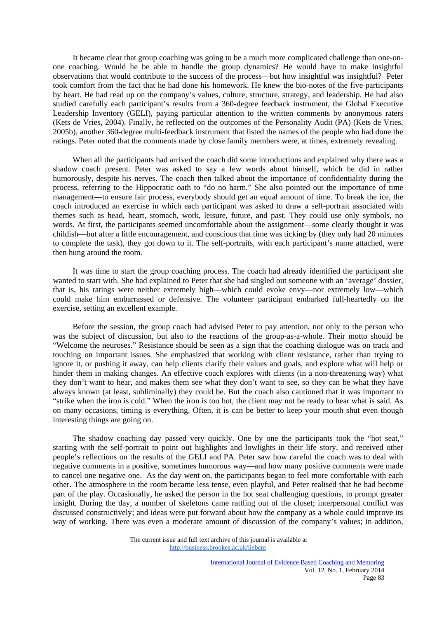It became clear that group coaching was going to be a much more complicated challenge than one-onone coaching. Would he be able to handle the group dynamics? He would have to make insightful observations that would contribute to the success of the process—but how insightful was insightful? Peter took comfort from the fact that he had done his homework. He knew the bio-notes of the five participants by heart. He had read up on the company's values, culture, structure, strategy, and leadership. He had also studied carefully each participant's results from a 360-degree feedback instrument, the Global Executive Leadership Inventory (GELI), paying particular attention to the written comments by anonymous raters (Kets de Vries, 2004). Finally, he reflected on the outcomes of the Personality Audit (PA) (Kets de Vries, 2005b), another 360-degree multi-feedback instrument that listed the names of the people who had done the ratings. Peter noted that the comments made by close family members were, at times, extremely revealing.

 When all the participants had arrived the coach did some introductions and explained why there was a shadow coach present. Peter was asked to say a few words about himself, which he did in rather humorously, despite his nerves. The coach then talked about the importance of confidentiality during the process, referring to the Hippocratic oath to "do no harm." She also pointed out the importance of time management—to ensure fair process, everybody should get an equal amount of time. To break the ice, the coach introduced an exercise in which each participant was asked to draw a self-portrait associated with themes such as head, heart, stomach, work, leisure, future, and past. They could use only symbols, no words. At first, the participants seemed uncomfortable about the assignment—some clearly thought it was childish—but after a little encouragement, and conscious that time was ticking by (they only had 20 minutes to complete the task), they got down to it. The self-portraits, with each participant's name attached, were then hung around the room.

 It was time to start the group coaching process. The coach had already identified the participant she wanted to start with. She had explained to Peter that she had singled out someone with an 'average' dossier, that is, his ratings were neither extremely high—which could evoke envy—nor extremely low—which could make him embarrassed or defensive. The volunteer participant embarked full-heartedly on the exercise, setting an excellent example.

 Before the session, the group coach had advised Peter to pay attention, not only to the person who was the subject of discussion, but also to the reactions of the group-as-a-whole. Their motto should be "Welcome the neuroses." Resistance should be seen as a sign that the coaching dialogue was on track and touching on important issues. She emphasized that working with client resistance, rather than trying to ignore it, or pushing it away, can help clients clarify their values and goals, and explore what will help or hinder them in making changes. An effective coach explores with clients (in a non-threatening way) what they don't want to hear, and makes them see what they don't want to see, so they can be what they have always known (at least, subliminally) they could be. But the coach also cautioned that it was important to "strike when the iron is cold." When the iron is too hot, the client may not be ready to hear what is said. As on many occasions, timing is everything. Often, it is can be better to keep your mouth shut even though interesting things are going on.

 The shadow coaching day passed very quickly. One by one the participants took the "hot seat," starting with the self-portrait to point out highlights and lowlights in their life story, and received other people's reflections on the results of the GELI and PA. Peter saw how careful the coach was to deal with negative comments in a positive, sometimes humorous way—and how many positive comments were made to cancel one negative one. As the day went on, the participants began to feel more comfortable with each other. The atmosphere in the room became less tense, even playful, and Peter realised that he had become part of the play. Occasionally, he asked the person in the hot seat challenging questions, to prompt greater insight. During the day, a number of skeletons came rattling out of the closet; interpersonal conflict was discussed constructively; and ideas were put forward about how the company as a whole could improve its way of working. There was even a moderate amount of discussion of the company's values; in addition,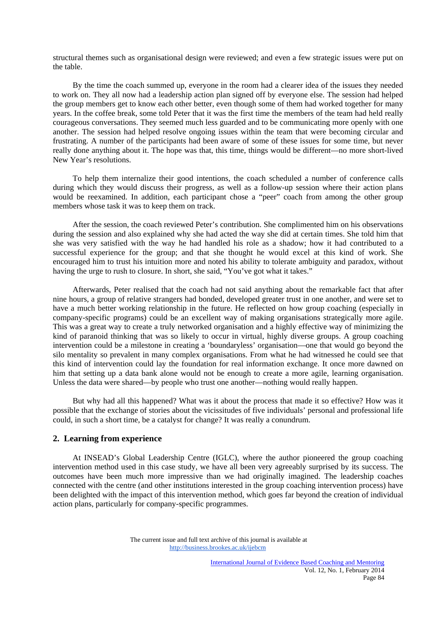structural themes such as organisational design were reviewed; and even a few strategic issues were put on the table.

 By the time the coach summed up, everyone in the room had a clearer idea of the issues they needed to work on. They all now had a leadership action plan signed off by everyone else. The session had helped the group members get to know each other better, even though some of them had worked together for many years. In the coffee break, some told Peter that it was the first time the members of the team had held really courageous conversations. They seemed much less guarded and to be communicating more openly with one another. The session had helped resolve ongoing issues within the team that were becoming circular and frustrating. A number of the participants had been aware of some of these issues for some time, but never really done anything about it. The hope was that, this time, things would be different—no more short-lived New Year's resolutions.

 To help them internalize their good intentions, the coach scheduled a number of conference calls during which they would discuss their progress, as well as a follow-up session where their action plans would be reexamined. In addition, each participant chose a "peer" coach from among the other group members whose task it was to keep them on track.

 After the session, the coach reviewed Peter's contribution. She complimented him on his observations during the session and also explained why she had acted the way she did at certain times. She told him that she was very satisfied with the way he had handled his role as a shadow; how it had contributed to a successful experience for the group; and that she thought he would excel at this kind of work. She encouraged him to trust his intuition more and noted his ability to tolerate ambiguity and paradox, without having the urge to rush to closure. In short, she said, "You've got what it takes."

 Afterwards, Peter realised that the coach had not said anything about the remarkable fact that after nine hours, a group of relative strangers had bonded, developed greater trust in one another, and were set to have a much better working relationship in the future. He reflected on how group coaching (especially in company-specific programs) could be an excellent way of making organisations strategically more agile. This was a great way to create a truly networked organisation and a highly effective way of minimizing the kind of paranoid thinking that was so likely to occur in virtual, highly diverse groups. A group coaching intervention could be a milestone in creating a 'boundaryless' organisation—one that would go beyond the silo mentality so prevalent in many complex organisations. From what he had witnessed he could see that this kind of intervention could lay the foundation for real information exchange. It once more dawned on him that setting up a data bank alone would not be enough to create a more agile, learning organisation. Unless the data were shared—by people who trust one another—nothing would really happen.

 But why had all this happened? What was it about the process that made it so effective? How was it possible that the exchange of stories about the vicissitudes of five individuals' personal and professional life could, in such a short time, be a catalyst for change? It was really a conundrum.

#### **2. Learning from experience**

 At INSEAD's Global Leadership Centre (IGLC), where the author pioneered the group coaching intervention method used in this case study, we have all been very agreeably surprised by its success. The outcomes have been much more impressive than we had originally imagined. The leadership coaches connected with the centre (and other institutions interested in the group coaching intervention process) have been delighted with the impact of this intervention method, which goes far beyond the creation of individual action plans, particularly for company-specific programmes.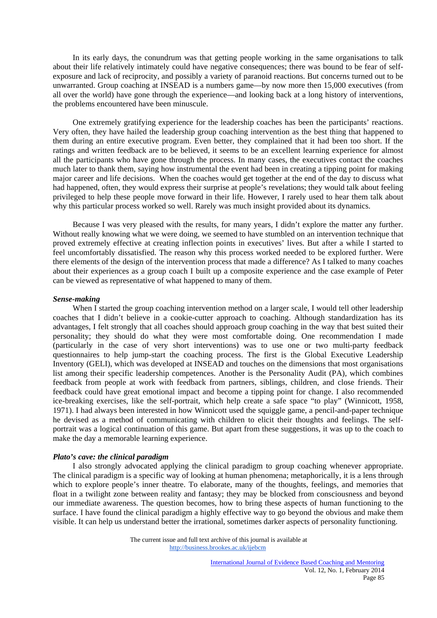In its early days, the conundrum was that getting people working in the same organisations to talk about their life relatively intimately could have negative consequences; there was bound to be fear of selfexposure and lack of reciprocity, and possibly a variety of paranoid reactions. But concerns turned out to be unwarranted. Group coaching at INSEAD is a numbers game—by now more then 15,000 executives (from all over the world) have gone through the experience—and looking back at a long history of interventions, the problems encountered have been minuscule.

 One extremely gratifying experience for the leadership coaches has been the participants' reactions. Very often, they have hailed the leadership group coaching intervention as the best thing that happened to them during an entire executive program. Even better, they complained that it had been too short. If the ratings and written feedback are to be believed, it seems to be an excellent learning experience for almost all the participants who have gone through the process. In many cases, the executives contact the coaches much later to thank them, saying how instrumental the event had been in creating a tipping point for making major career and life decisions. When the coaches would get together at the end of the day to discuss what had happened, often, they would express their surprise at people's revelations; they would talk about feeling privileged to help these people move forward in their life. However, I rarely used to hear them talk about why this particular process worked so well. Rarely was much insight provided about its dynamics.

 Because I was very pleased with the results, for many years, I didn't explore the matter any further. Without really knowing what we were doing, we seemed to have stumbled on an intervention technique that proved extremely effective at creating inflection points in executives' lives. But after a while I started to feel uncomfortably dissatisfied. The reason why this process worked needed to be explored further. Were there elements of the design of the intervention process that made a difference? As I talked to many coaches about their experiences as a group coach I built up a composite experience and the case example of Peter can be viewed as representative of what happened to many of them.

#### *Sense-making*

 When I started the group coaching intervention method on a larger scale, I would tell other leadership coaches that I didn't believe in a cookie-cutter approach to coaching. Although standardization has its advantages, I felt strongly that all coaches should approach group coaching in the way that best suited their personality; they should do what they were most comfortable doing. One recommendation I made (particularly in the case of very short interventions) was to use one or two multi-party feedback questionnaires to help jump-start the coaching process. The first is the Global Executive Leadership Inventory (GELI), which was developed at INSEAD and touches on the dimensions that most organisations list among their specific leadership competences. Another is the Personality Audit (PA), which combines feedback from people at work with feedback from partners, siblings, children, and close friends. Their feedback could have great emotional impact and become a tipping point for change. I also recommended ice-breaking exercises, like the self-portrait, which help create a safe space "to play" (Winnicott, 1958, 1971). I had always been interested in how Winnicott used the squiggle game, a pencil-and-paper technique he devised as a method of communicating with children to elicit their thoughts and feelings. The selfportrait was a logical continuation of this game. But apart from these suggestions, it was up to the coach to make the day a memorable learning experience.

#### *Plato's cave: the clinical paradigm*

 I also strongly advocated applying the clinical paradigm to group coaching whenever appropriate. The clinical paradigm is a specific way of looking at human phenomena; metaphorically, it is a lens through which to explore people's inner theatre. To elaborate, many of the thoughts, feelings, and memories that float in a twilight zone between reality and fantasy; they may be blocked from consciousness and beyond our immediate awareness. The question becomes, how to bring these aspects of human functioning to the surface. I have found the clinical paradigm a highly effective way to go beyond the obvious and make them visible. It can help us understand better the irrational, sometimes darker aspects of personality functioning.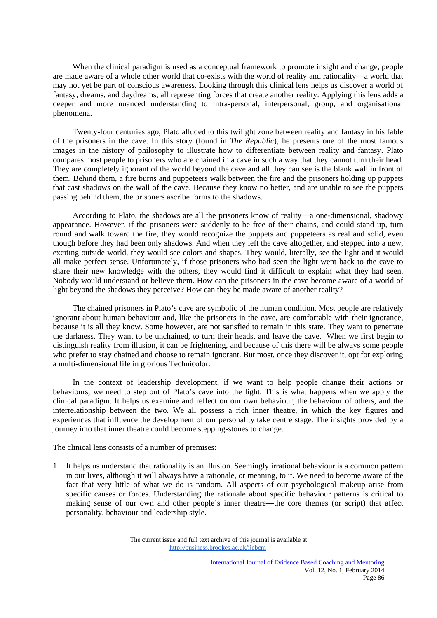When the clinical paradigm is used as a conceptual framework to promote insight and change, people are made aware of a whole other world that co-exists with the world of reality and rationality—a world that may not yet be part of conscious awareness. Looking through this clinical lens helps us discover a world of fantasy, dreams, and daydreams, all representing forces that create another reality. Applying this lens adds a deeper and more nuanced understanding to intra-personal, interpersonal, group, and organisational phenomena.

 Twenty-four centuries ago, Plato alluded to this twilight zone between reality and fantasy in his fable of the prisoners in the cave. In this story (found in *The Republic*), he presents one of the most famous images in the history of philosophy to illustrate how to differentiate between reality and fantasy. Plato compares most people to prisoners who are chained in a cave in such a way that they cannot turn their head. They are completely ignorant of the world beyond the cave and all they can see is the blank wall in front of them. Behind them, a fire burns and puppeteers walk between the fire and the prisoners holding up puppets that cast shadows on the wall of the cave. Because they know no better, and are unable to see the puppets passing behind them, the prisoners ascribe forms to the shadows.

 According to Plato, the shadows are all the prisoners know of reality—a one-dimensional, shadowy appearance. However, if the prisoners were suddenly to be free of their chains, and could stand up, turn round and walk toward the fire, they would recognize the puppets and puppeteers as real and solid, even though before they had been only shadows. And when they left the cave altogether, and stepped into a new, exciting outside world, they would see colors and shapes. They would, literally, see the light and it would all make perfect sense. Unfortunately, if those prisoners who had seen the light went back to the cave to share their new knowledge with the others, they would find it difficult to explain what they had seen. Nobody would understand or believe them. How can the prisoners in the cave become aware of a world of light beyond the shadows they perceive? How can they be made aware of another reality?

 The chained prisoners in Plato's cave are symbolic of the human condition. Most people are relatively ignorant about human behaviour and, like the prisoners in the cave, are comfortable with their ignorance, because it is all they know. Some however, are not satisfied to remain in this state. They want to penetrate the darkness. They want to be unchained, to turn their heads, and leave the cave. When we first begin to distinguish reality from illusion, it can be frightening, and because of this there will be always some people who prefer to stay chained and choose to remain ignorant. But most, once they discover it, opt for exploring a multi-dimensional life in glorious Technicolor.

 In the context of leadership development, if we want to help people change their actions or behaviours, we need to step out of Plato's cave into the light. This is what happens when we apply the clinical paradigm. It helps us examine and reflect on our own behaviour, the behaviour of others, and the interrelationship between the two. We all possess a rich inner theatre, in which the key figures and experiences that influence the development of our personality take centre stage. The insights provided by a journey into that inner theatre could become stepping-stones to change.

The clinical lens consists of a number of premises:

1. It helps us understand that rationality is an illusion. Seemingly irrational behaviour is a common pattern in our lives, although it will always have a rationale, or meaning, to it. We need to become aware of the fact that very little of what we do is random. All aspects of our psychological makeup arise from specific causes or forces. Understanding the rationale about specific behaviour patterns is critical to making sense of our own and other people's inner theatre—the core themes (or script) that affect personality, behaviour and leadership style.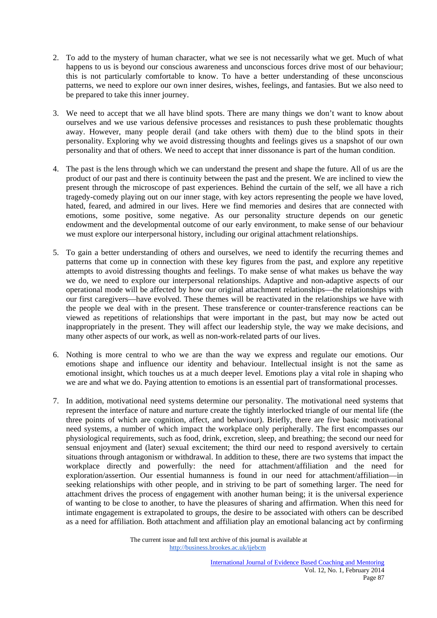- 2. To add to the mystery of human character, what we see is not necessarily what we get. Much of what happens to us is beyond our conscious awareness and unconscious forces drive most of our behaviour; this is not particularly comfortable to know. To have a better understanding of these unconscious patterns, we need to explore our own inner desires, wishes, feelings, and fantasies. But we also need to be prepared to take this inner journey.
- 3. We need to accept that we all have blind spots. There are many things we don't want to know about ourselves and we use various defensive processes and resistances to push these problematic thoughts away. However, many people derail (and take others with them) due to the blind spots in their personality. Exploring why we avoid distressing thoughts and feelings gives us a snapshot of our own personality and that of others. We need to accept that inner dissonance is part of the human condition.
- 4. The past is the lens through which we can understand the present and shape the future. All of us are the product of our past and there is continuity between the past and the present. We are inclined to view the present through the microscope of past experiences. Behind the curtain of the self, we all have a rich tragedy-comedy playing out on our inner stage, with key actors representing the people we have loved, hated, feared, and admired in our lives. Here we find memories and desires that are connected with emotions, some positive, some negative. As our personality structure depends on our genetic endowment and the developmental outcome of our early environment, to make sense of our behaviour we must explore our interpersonal history, including our original attachment relationships.
- 5. To gain a better understanding of others and ourselves, we need to identify the recurring themes and patterns that come up in connection with these key figures from the past, and explore any repetitive attempts to avoid distressing thoughts and feelings. To make sense of what makes us behave the way we do, we need to explore our interpersonal relationships. Adaptive and non-adaptive aspects of our operational mode will be affected by how our original attachment relationships—the relationships with our first caregivers—have evolved. These themes will be reactivated in the relationships we have with the people we deal with in the present. These transference or counter-transference reactions can be viewed as repetitions of relationships that were important in the past, but may now be acted out inappropriately in the present. They will affect our leadership style, the way we make decisions, and many other aspects of our work, as well as non-work-related parts of our lives.
- 6. Nothing is more central to who we are than the way we express and regulate our emotions. Our emotions shape and influence our identity and behaviour. Intellectual insight is not the same as emotional insight, which touches us at a much deeper level. Emotions play a vital role in shaping who we are and what we do. Paying attention to emotions is an essential part of transformational processes.
- 7. In addition, motivational need systems determine our personality. The motivational need systems that represent the interface of nature and nurture create the tightly interlocked triangle of our mental life (the three points of which are cognition, affect, and behaviour). Briefly, there are five basic motivational need systems, a number of which impact the workplace only peripherally. The first encompasses our physiological requirements, such as food, drink, excretion, sleep, and breathing; the second our need for sensual enjoyment and (later) sexual excitement; the third our need to respond aversively to certain situations through antagonism or withdrawal. In addition to these, there are two systems that impact the workplace directly and powerfully: the need for attachment/affiliation and the need for exploration/assertion. Our essential humanness is found in our need for attachment/affiliation—in seeking relationships with other people, and in striving to be part of something larger. The need for attachment drives the process of engagement with another human being; it is the universal experience of wanting to be close to another, to have the pleasures of sharing and affirmation. When this need for intimate engagement is extrapolated to groups, the desire to be associated with others can be described as a need for affiliation. Both attachment and affiliation play an emotional balancing act by confirming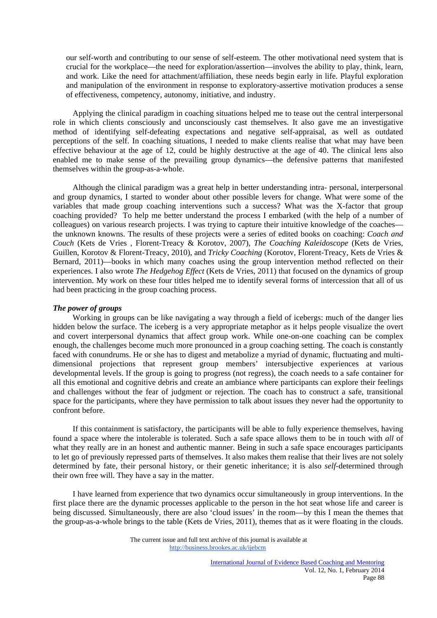our self-worth and contributing to our sense of self-esteem. The other motivational need system that is crucial for the workplace—the need for exploration/assertion—involves the ability to play, think, learn, and work. Like the need for attachment/affiliation, these needs begin early in life. Playful exploration and manipulation of the environment in response to exploratory-assertive motivation produces a sense of effectiveness, competency, autonomy, initiative, and industry.

 Applying the clinical paradigm in coaching situations helped me to tease out the central interpersonal role in which clients consciously and unconsciously cast themselves. It also gave me an investigative method of identifying self-defeating expectations and negative self-appraisal, as well as outdated perceptions of the self. In coaching situations, I needed to make clients realise that what may have been effective behaviour at the age of 12, could be highly destructive at the age of 40. The clinical lens also enabled me to make sense of the prevailing group dynamics—the defensive patterns that manifested themselves within the group-as-a-whole.

 Although the clinical paradigm was a great help in better understanding intra- personal, interpersonal and group dynamics, I started to wonder about other possible levers for change. What were some of the variables that made group coaching interventions such a success? What was the X-factor that group coaching provided? To help me better understand the process I embarked (with the help of a number of colleagues) on various research projects. I was trying to capture their intuitive knowledge of the coaches the unknown knowns. The results of these projects were a series of edited books on coaching: *Coach and Couch* (Kets de Vries , Florent-Treacy & Korotov, 2007), *The Coaching Kaleidoscope* (Kets de Vries, Guillen, Korotov & Florent-Treacy, 2010), and *Tricky Coaching* (Korotov, Florent-Treacy, Kets de Vries & Bernard, 2011)—books in which many coaches using the group intervention method reflected on their experiences. I also wrote *The Hedgehog Effect* (Kets de Vries, 2011) that focused on the dynamics of group intervention. My work on these four titles helped me to identify several forms of intercession that all of us had been practicing in the group coaching process.

#### *The power of groups*

 Working in groups can be like navigating a way through a field of icebergs: much of the danger lies hidden below the surface. The iceberg is a very appropriate metaphor as it helps people visualize the overt and covert interpersonal dynamics that affect group work. While one-on-one coaching can be complex enough, the challenges become much more pronounced in a group coaching setting. The coach is constantly faced with conundrums. He or she has to digest and metabolize a myriad of dynamic, fluctuating and multidimensional projections that represent group members' intersubjective experiences at various developmental levels. If the group is going to progress (not regress), the coach needs to a safe container for all this emotional and cognitive debris and create an ambiance where participants can explore their feelings and challenges without the fear of judgment or rejection. The coach has to construct a safe, transitional space for the participants, where they have permission to talk about issues they never had the opportunity to confront before.

 If this containment is satisfactory, the participants will be able to fully experience themselves, having found a space where the intolerable is tolerated. Such a safe space allows them to be in touch with *all* of what they really are in an honest and authentic manner. Being in such a safe space encourages participants to let go of previously repressed parts of themselves. It also makes them realise that their lives are not solely determined by fate, their personal history, or their genetic inheritance; it is also *self*-determined through their own free will. They have a say in the matter.

 I have learned from experience that two dynamics occur simultaneously in group interventions. In the first place there are the dynamic processes applicable to the person in the hot seat whose life and career is being discussed. Simultaneously, there are also 'cloud issues' in the room—by this I mean the themes that the group-as-a-whole brings to the table (Kets de Vries, 2011), themes that as it were floating in the clouds.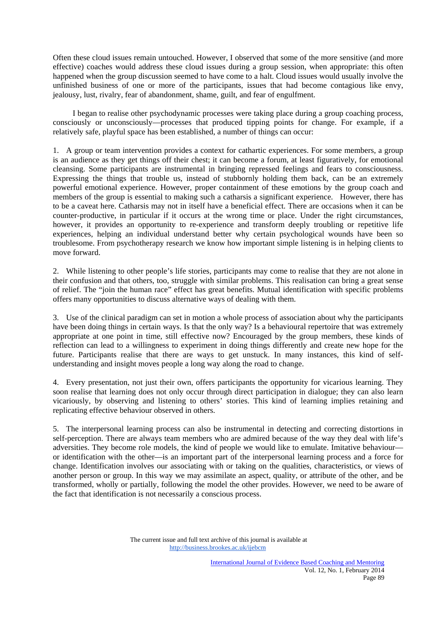Often these cloud issues remain untouched. However, I observed that some of the more sensitive (and more effective) coaches would address these cloud issues during a group session, when appropriate: this often happened when the group discussion seemed to have come to a halt. Cloud issues would usually involve the unfinished business of one or more of the participants, issues that had become contagious like envy, jealousy, lust, rivalry, fear of abandonment, shame, guilt, and fear of engulfment.

 I began to realise other psychodynamic processes were taking place during a group coaching process, consciously or unconsciously—processes that produced tipping points for change. For example, if a relatively safe, playful space has been established, a number of things can occur:

1. A group or team intervention provides a context for cathartic experiences. For some members, a group is an audience as they get things off their chest; it can become a forum, at least figuratively, for emotional cleansing. Some participants are instrumental in bringing repressed feelings and fears to consciousness. Expressing the things that trouble us, instead of stubbornly holding them back, can be an extremely powerful emotional experience. However, proper containment of these emotions by the group coach and members of the group is essential to making such a catharsis a significant experience. However, there has to be a caveat here. Catharsis may not in itself have a beneficial effect. There are occasions when it can be counter-productive, in particular if it occurs at the wrong time or place. Under the right circumstances, however, it provides an opportunity to re-experience and transform deeply troubling or repetitive life experiences, helping an individual understand better why certain psychological wounds have been so troublesome. From psychotherapy research we know how important simple listening is in helping clients to move forward.

2. While listening to other people's life stories, participants may come to realise that they are not alone in their confusion and that others, too, struggle with similar problems. This realisation can bring a great sense of relief. The "join the human race" effect has great benefits. Mutual identification with specific problems offers many opportunities to discuss alternative ways of dealing with them.

3. Use of the clinical paradigm can set in motion a whole process of association about why the participants have been doing things in certain ways. Is that the only way? Is a behavioural repertoire that was extremely appropriate at one point in time, still effective now? Encouraged by the group members, these kinds of reflection can lead to a willingness to experiment in doing things differently and create new hope for the future. Participants realise that there are ways to get unstuck. In many instances, this kind of selfunderstanding and insight moves people a long way along the road to change.

4. Every presentation, not just their own, offers participants the opportunity for vicarious learning. They soon realise that learning does not only occur through direct participation in dialogue; they can also learn vicariously, by observing and listening to others' stories. This kind of learning implies retaining and replicating effective behaviour observed in others.

5. The interpersonal learning process can also be instrumental in detecting and correcting distortions in self-perception. There are always team members who are admired because of the way they deal with life's adversities. They become role models, the kind of people we would like to emulate. Imitative behaviour or identification with the other—is an important part of the interpersonal learning process and a force for change. Identification involves our associating with or taking on the qualities, characteristics, or views of another person or group. In this way we may assimilate an aspect, quality, or attribute of the other, and be transformed, wholly or partially, following the model the other provides. However, we need to be aware of the fact that identification is not necessarily a conscious process.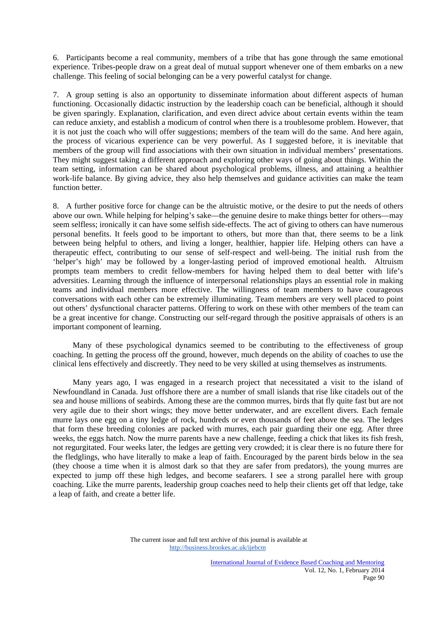6. Participants become a real community, members of a tribe that has gone through the same emotional experience. Tribes-people draw on a great deal of mutual support whenever one of them embarks on a new challenge. This feeling of social belonging can be a very powerful catalyst for change.

7. A group setting is also an opportunity to disseminate information about different aspects of human functioning. Occasionally didactic instruction by the leadership coach can be beneficial, although it should be given sparingly. Explanation, clarification, and even direct advice about certain events within the team can reduce anxiety, and establish a modicum of control when there is a troublesome problem. However, that it is not just the coach who will offer suggestions; members of the team will do the same. And here again, the process of vicarious experience can be very powerful. As I suggested before, it is inevitable that members of the group will find associations with their own situation in individual members' presentations. They might suggest taking a different approach and exploring other ways of going about things. Within the team setting, information can be shared about psychological problems, illness, and attaining a healthier work-life balance. By giving advice, they also help themselves and guidance activities can make the team function better.

8. A further positive force for change can be the altruistic motive, or the desire to put the needs of others above our own. While helping for helping's sake—the genuine desire to make things better for others—may seem selfless; ironically it can have some selfish side-effects. The act of giving to others can have numerous personal benefits. It feels good to be important to others, but more than that, there seems to be a link between being helpful to others, and living a longer, healthier, happier life. Helping others can have a therapeutic effect, contributing to our sense of self-respect and well-being. The initial rush from the 'helper's high' may be followed by a longer-lasting period of improved emotional health. Altruism prompts team members to credit fellow-members for having helped them to deal better with life's adversities. Learning through the influence of interpersonal relationships plays an essential role in making teams and individual members more effective. The willingness of team members to have courageous conversations with each other can be extremely illuminating. Team members are very well placed to point out others' dysfunctional character patterns. Offering to work on these with other members of the team can be a great incentive for change. Constructing our self-regard through the positive appraisals of others is an important component of learning.

 Many of these psychological dynamics seemed to be contributing to the effectiveness of group coaching. In getting the process off the ground, however, much depends on the ability of coaches to use the clinical lens effectively and discreetly. They need to be very skilled at using themselves as instruments.

 Many years ago, I was engaged in a research project that necessitated a visit to the island of Newfoundland in Canada. Just offshore there are a number of small islands that rise like citadels out of the sea and house millions of seabirds. Among these are the common murres, birds that fly quite fast but are not very agile due to their short wings; they move better underwater, and are excellent divers. Each female murre lays one egg on a tiny ledge of rock, hundreds or even thousands of feet above the sea. The ledges that form these breeding colonies are packed with murres, each pair guarding their one egg. After three weeks, the eggs hatch. Now the murre parents have a new challenge, feeding a chick that likes its fish fresh, not regurgitated. Four weeks later, the ledges are getting very crowded; it is clear there is no future there for the fledglings, who have literally to make a leap of faith. Encouraged by the parent birds below in the sea (they choose a time when it is almost dark so that they are safer from predators), the young murres are expected to jump off these high ledges, and become seafarers. I see a strong parallel here with group coaching. Like the murre parents, leadership group coaches need to help their clients get off that ledge, take a leap of faith, and create a better life.